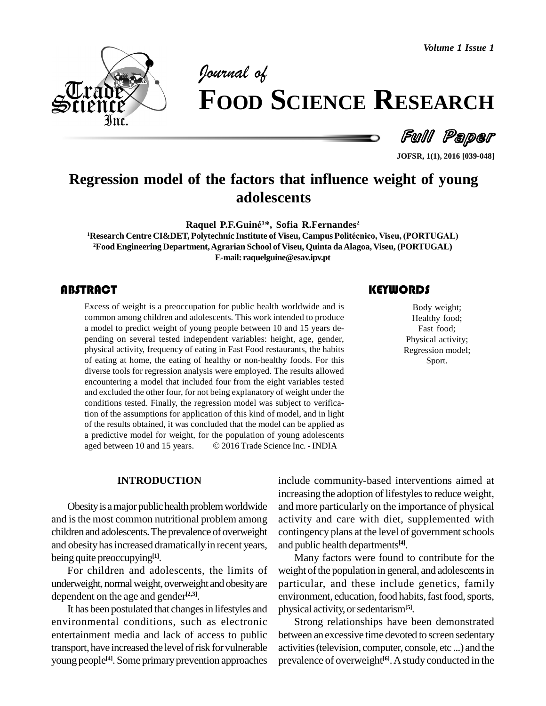*Volume 1 Issue 1*



# *of* **FOOD SCIENCE RESEARCH**

Full Paper

**JOFSR, 1(1), 2016 [039-048]**

# **Regression model of the factors that influence weight of young adolescents Raquel P.F.Guin<sup>È</sup> <sup>1</sup>\*, Sofia R.Fernandes 2**

**<sup>1</sup>Research Centre CI&DET, Polytechnic Institute of Viseu, Campus PolitÈcnico, Viseu, (PORTUGAL) <sup>2</sup>Food Engineering Department,Agrarian School of Viseu, Quinta daAlagoa, Viseu, (PORTUGAL) E-mail: [raquelguine@esav.ipv.pt](mailto:raquelguine@esav.ipv.pt)**

## **ABSTRACT**

Excess of weight is a preoccupation for public health worldwide and is Body weight;<br>
common among children and adolescents. This work intended to produce Healthy food;<br>
a model to predict weight of young people between 10 Excess of weight is a preoccupation for public health worldwide and is common among children and adolescents. This work intended to produce pending on several tested independent variables: height, age, gender, physical activity, frequency of eating in Fast Food restaurants, the habits of eating at home, the eating of healthy ornon-healthy foods. For this diverse tools for regression analysis were employed. The results allowed encountering a model that included four from the eight variables tested and excluded the other four, for not being explanatory of weight under the conditions tested. Finally, the regression model was subject to verification of the assumptions for application of this kind of model, and in light of the results obtained, it was concluded that the model can be applied as<br>a predictive model for weight, for the population of young adolescents<br>aged between 10 and 15 years. © 2016 Trade Science Inc. - INDIA a predictive model for weight, for the population of young adolescents

Body weight; Healthy food; Fast food; Physical activity; Regression model; Sport.

#### **INTRODUCTION**

Obesity is a major public health problem worldwide and isthe most common nutritional problem among children and adolescents. The prevalence of overweight and obesity has increased dramatically in recent years, being quite preoccupying **[1]**.

For children and adolescents, the limits of underweight, normal weight, overweight and obesity are dependent on the age and gender **[2,3]**.

It has been postulated that changes in lifestyles and environmental conditions, such as electronic entertainment media and lack of access to public transport, have increased the level of risk for vulnerable young people<sup>[4]</sup>. Some primary prevention approaches prevention

include community-based interventions aimed at increasing the adoption of lifestyles to reduce weight, and more particularly on the importance of physical activity and care with diet, supplemented with contingency plans at the level of government schools and public health departments **[4]**.

Many factors were found to contribute for the weight of the population in general, and adolescents in particular, and these include genetics, family environment, education, food habits, fast food, sports, physical activity, or sedentarism<sup>[5]</sup>.

Strong relationships have been demonstrated between an excessive time devoted to screen sedentary activities(television, computer, console, etc ...) and the prevalence of overweight **[6]**.Astudy conducted in the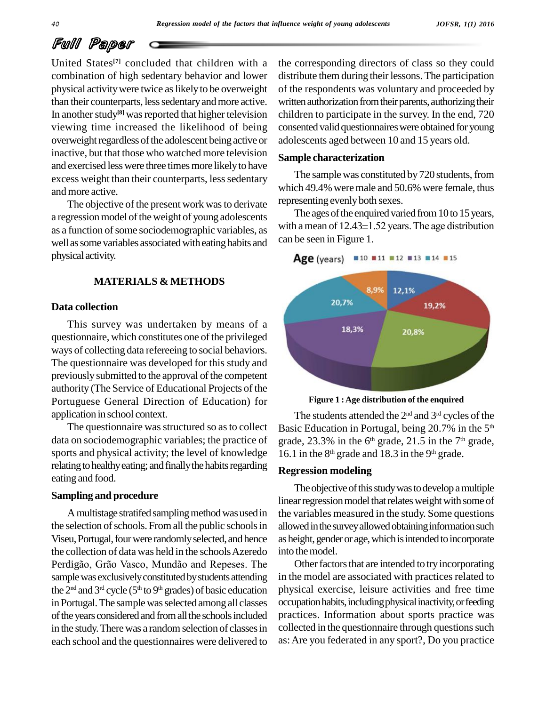United States<sup>[7]</sup> concluded that children with a the co combination of high sedentary behavior and lower physical activitywere twice aslikelyto be overweight than their counterparts, less sedentary and more active. In another study<sup>[8]</sup> was reported that higher television childre viewing time increased the likelihood of being overweight regardless of the adolescent being active or inactive, but that those who watched more television and exercised less were three times more likely to have excess weight than their counterparts, less sedentary and more active.

The objective of the present work was to derivate a regression model of the weight of young adolescents as a function of some sociodemographic variables, as well as some variables associated with eating habits and physical activity.

#### **MATERIALS & METHODS**

#### **Data collection**

This survey was undertaken by means of a questionnaire, which constitutes one of the privileged ways of collecting data refereeing to social behaviors. The questionnaire was developed for this study and previously submitted to the approval of the competent authority (The Service of Educational Projects of the Portuguese General Direction of Education) for application in school context.

The questionnaire was structured so as to collect data on sociodemographic variables; the practice of sports and physical activity; the level of knowledge relating to healthy eating; and finally the habits regarding eating and food.

#### **Sampling and procedure**

A multistage stratifed sampling method was used in the selection of schools. From all the public schools in Viseu, Portugal, four were randomly selected, and hence the collection of data was held in the schools Azeredo Perdigão, Grão Vasco, Mundão and Repeses. The sample was exclusively constituted by students attending the  $2<sup>nd</sup>$  and  $3<sup>rd</sup>$  cycle ( $5<sup>th</sup>$  to  $9<sup>th</sup>$  grades) of basic education physic in Portugal. The sample was selected among all classes of the years considered and from all the schools included in the study. There was a random selection of classes in each school and the questionnaires were delivered to

the corresponding directors of class so they could distribute them during their lessons. The participation of the respondents was voluntary and proceeded by written authorization from their parents, authorizing their children to participate in the survey. In the end, 720 consented valid questionnaires were obtained for young adolescents aged between 10 and 15 years old.

#### **Sample characterization**

The sample was constituted by 720 students, from which 49.4% were male and 50.6% were female, thus representing evenlyboth sexes.

The ages of the enquired varied from  $10$  to  $15$  years, with a mean of  $12.43 \pm 1.52$  years. The age distribution can be seen in Figure 1.





**Figure 1 :Age distribution of the enquired**

The students attended the  $2^{\text{nd}}$  and  $3^{\text{rd}}$  cycles of the Basic Education in Portugal, being 20.7% in the 5<sup>th</sup> grade, 23.3% in the  $6<sup>th</sup>$  grade, 21.5 in the  $7<sup>th</sup>$  grade, 16.1 in the  $8<sup>th</sup>$  grade and 18.3 in the  $9<sup>th</sup>$  grade.

#### **Regression modeling**

The objective of this study was to develop a multiple linear regression model that relates weight with some of the variables measured in the study. Some questions allowed in the survey allowed obtaining information such as height, gender or age, which is intended to incorporate into the model.

Other factors that are intended to try incorporating in the model are associated with practices related to physical exercise, leisure activities and free time occupation habits, including physical inactivity, or feeding practices. Information about sports practice was collected in the questionnaire through questions such as:Are you federated in any sport?, Do you practice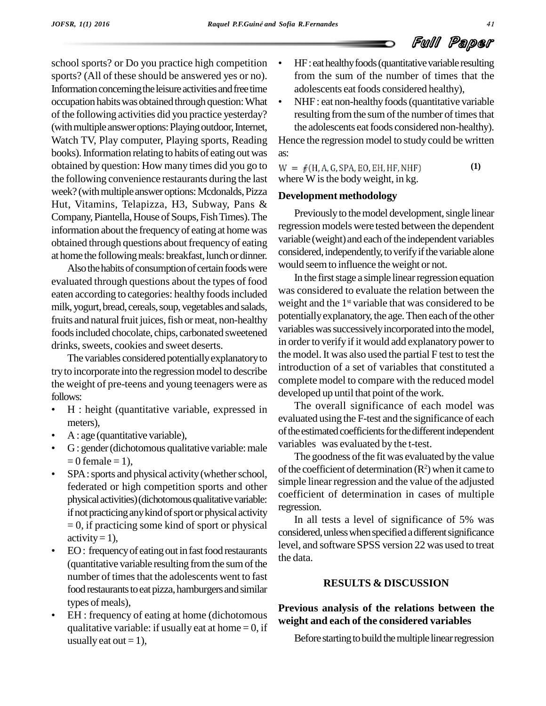school sports? or Do you practice high competition sports? (All of these should be answered yes or no). Information concerning the leisure activities and free time adolescents eat foods considered healthy), occupation habits was obtained through question: What • of the following activities did you practice yesterday? (with multiple answer options: Playing outdoor, Internet, Watch TV, Play computer, Playing sports, Reading books). Information relating to habits of eating out was obtained by question: How many times did you go to  $W = f(H, A, G, SPA, EO, EH, HF, NHF)$ the following convenience restaurants during the last week? (with multiple answer options: Mcdonalds, Pizza Hut, Vitamins, Telapizza, H3, Subway, Pans & Company, Piantella, House of Soups, Fish Times). The information about the frequency of eating at home was obtained through questions about frequency of eating at home the following meals: breakfast, lunch or dinner.

Also the habits of consumption of certain foods were evaluated through questions about the types of food eaten according to categories: healthy foods included milk, yogurt, bread, cereals, soup, vegetables and salads, fruits and natural fruit juices, fish or meat, non-healthy foodsincluded chocolate, chips, carbonated sweetened drinks, sweets, cookies and sweet deserts.

The variables considered potentially explanatory to try to incorporate into the regression model to describe the weight of pre-teens and young teenagers were as comproved the vertex of the vertex of the state of the state of the state of the state of the state of the state of the state of the state of the state of the state of th

- H : height (quantitative variable, expressed in  $\frac{1 \text{ h}}{\text{evalual}}$
- meters),<br>A : age (quantitative variable),
- G: gender (dichotomous qualitative variable: male  $\frac{\text{variate}}{\text{T}}$ <br>= 0 female = 1),
- SPA: sports and physical activity (whether school, federated or high competition sports and other physical activities) (dichotomous qualitative variable: if not practicing any kind of sport or physical activity  $= 0$ , if practicing some kind of sport or physical conditions activity  $= 1$ ),
- EO: frequency of eating out in fast food restaurants (quantitative variable resulting from the sum of the number of times that the adolescents went to fast food restaurants to eat pizza, hamburgers and similar<br>types of meals),
- EH : frequency of eating at home (dichotomous qualitative variable: if usually eat at home  $= 0$ , if usually eat out  $= 1$ ),
- HF: eat healthy foods (quantitative variable resulting from the sum of the number of times that the adolescents eat foods considered healthy),
- NHF: eat non-healthy foods (quantitative variable resulting from the sum of the number of times that the adolescents eat foods considered non-healthy).

Hence the regression model to study could be written as:

**(1)** where  $W$  is the body weight, in kg.

#### **Development methodology**

Previously to the model development, single linear regression models were tested between the dependent variable (weight) and each of the independent variables considered, independently, to verify if the variable alone would seemto influence the weight or not.

In the first stage a simple linear regression equation was considered to evaluate the relation between the weight and the 1 st variable that was considered to be potentially explanatory, the age. Then each of the other variables was successively incorporated into the model, in order to verify if it would add explanatory power to the model.It was also used the partial F test to test the introduction of a set of variables that constituted a complete model to compare with the reduced model developed up until that point of the work.

The overall significance of each model was evaluated using the F-test and the significance of each of the estimated coefficients for the different independent variables was evaluated by the t-test.

The goodness of the fit was evaluated by the value of the coefficient of determination  $(R^2)$  when it came to simple linear regression and the value of the adjusted coefficient of determination in cases of multiple regression.

In all tests a level of significance of 5% was considered, unless when specified a different significance level, and software SPSS version 22 was used to treat the data.

#### **RESULTS & DISCUSSION**

## **Previous analysis of the relations between the weight and each of the considered variables**

Before starting to build the multiple linear regression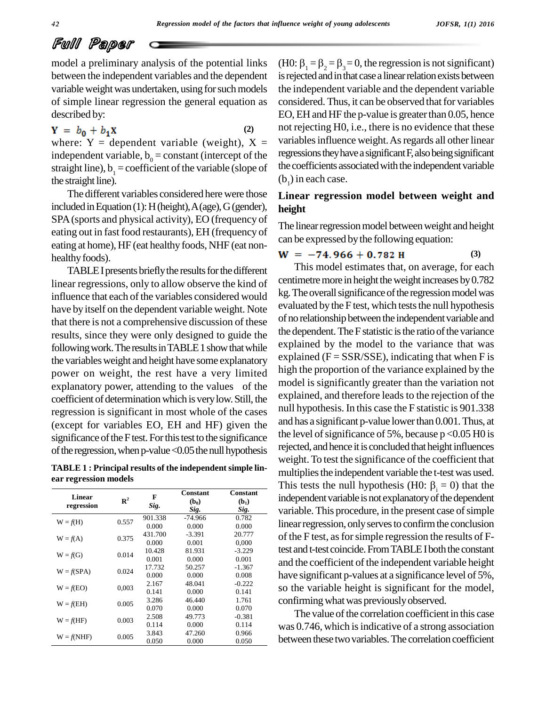model a preliminary analysis of the potential links between the independent variables and the dependent variable weight was undertaken, using for such models of simple linear regression the general equation as described by:

 $Y = b_0 + b_1 X$ **(2)** where:  $Y =$  dependent variable (weight),  $X =$ independent variable,  $b_0$  = constant (intercept of the straight line),  $b_1$  = coefficient of the variable (slope of the straight line).

The different variables considered here were those included in Equation (1): H (height),  $A$  (age),  $G$  (gender), SPA(sports and physical activity), EO (frequency of eating out in fast food restaurants), EH (frequency of eating at home), HF (eat healthy foods, NHF (eat non healthy foods).

TABLE I presents briefly the results for the different linear regressions, only to allow observe the kind of influence that each of the variables considered would have by itself on the dependent variable weight. Note that there is not a comprehensive discussion of these results, since they were only designed to guide the following work. The results in TABLE 1 show that while the variables weight and height have some explanatory power on weight, the rest have a very limited explanatory power, attending to the values of the coefficient of determination which is very low. Still, the regression is significant in most whole of the cases (except for variables EO, EH and HF) given the significance of the F test. For this test to the significance of the regression, when  $p$ -value < 0.05 the null hypothesis

**TABLE 1 : Principal results of the independent simple lin ear regression models**

| Linear<br>regression | $\mathbb{R}^2$ | F<br>Sig. | <b>Constant</b><br>$(b_0)$<br>Sig. | Constant<br>$(b_1)$<br>Sig. |
|----------------------|----------------|-----------|------------------------------------|-----------------------------|
| $W = f(H)$           | 0.557          | 901.338   | -74.966                            | 0.782                       |
|                      |                | 0.000     | 0.000                              | 0.000                       |
| $W = f(A)$           | 0.375          | 431.700   | $-3.391$                           | 20.777                      |
|                      |                | 0.000     | 0.001                              | 0.000                       |
|                      | 0.014          | 10.428    | 81.931                             | $-3.229$                    |
| $W = f(G)$           |                | 0.001     | 0.000                              | 0.001                       |
| $W = f(SPA)$         | 0.024          | 17.732    | 50.257                             | $-1.367$                    |
|                      |                | 0.000     | 0.000                              | 0.008                       |
|                      | 0,003          | 2.167     | 48.041                             | $-0.222$                    |
| $W = f(EO)$          |                | 0.141     | 0.000                              | 0.141                       |
|                      | 0.005          | 3.286     | 46.440                             | 1.761                       |
| $W = f(EH)$          |                | 0.070     | 0.000                              | 0.070                       |
| $W = f(HF)$          |                | 2.508     | 49.773                             | $-0.381$                    |
|                      | 0.003          | 0.114     | 0.000                              | 0.114                       |
|                      |                | 3.843     | 47.260                             | 0.966                       |
| $W = f(NHF)$         | 0.005          | 0.050     | 0.000                              | 0.050                       |

(H0:  $\beta_1 = \beta_2 = \beta_3 = 0$ , the regression is not significant) is rejected and in that case a linear relation exists between the independent variable and the dependent variable considered. Thus, it can be observed that for variables EO, EH and HF the p-value is greater than  $0.05$ , hence not rejecting H0, i.e., there is no evidence that these variables influence weight. As regards all other linear regressions they have a significant  $F$ , also being significant the coefficients associated with the independent variable  $(b<sub>1</sub>)$  in each case.

#### **Linear regression model between weight and height**

The linear regression model between weight and height can be expressed by the following equation:

$$
W = -74.966 + 0.782 \text{ H} \tag{3}
$$

This model estimates that, on average, for each centimetre more in height the weight increases by  $0.782$ kg. The overall significance of the regression model was evaluated by the F test, which tests the null hypothesis of no relationship between the independent variable and the dependent. The F statistic is the ratio of the variance explained by the model to the variance that was explained  $(F = SSR/SSE)$ , indicating that when F is high the proportion of the variance explained by the model is significantly greater than the variation not explained, and therefore leads to the rejection of the null hypothesis. In this case the F statistic is 901.338 and has a significant p-value lowerthan 0.001.Thus, at the level of significance of 5%, because  $p < 0.05$  H0 is rejected, and hence it is concluded that height influences weight. To test the significance of the coefficient that multiplies the independent variable the t-test was used. This tests the null hypothesis (H0:  $\beta$  = 0) that the independent variable is not explanatory of the dependent variable. This procedure, in the present case of simple linear regression, only serves to confirm the conclusion of the F test, as for simple regression the results of Ftest and t-test coincide. From TABLE I both the constant and the coefficient of the independent variable height have significant p-values at a significance level of 5%, so the variable height is significant for the model, confirming what was previously observed.

The value of the correlation coefficient in this case was 0.746, which is indicative of a strong association between these two variables. The correlation coefficient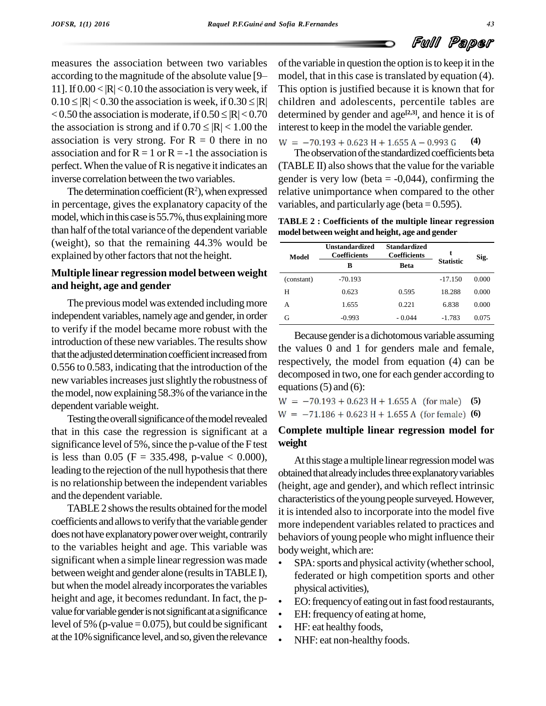measures the association between two variables according to the magnitude of the absolute value [9– 11]. If  $0.00 < |R| < 0.10$  the association is very week, if Thi according to the magnitude of the absolute value [9- mod 11]. If  $0.00 < |R| < 0.10$  the association is very week, if This  $0.10 \leq |R| < 0.30$  the association is week, if  $0.30 \leq |R|$  child 11]. If  $0.00 < |R| < 0.10$  the association is very week, if This or  $0.10 \le |R| < 0.30$  the association is week, if  $0.30 \le |R|$  childre  $< 0.50$  the association is moderate, if  $0.50 \le |R| < 0.70$  determ  $0.10 \leq |R| < 0.30$  the association is week, if  $0.30 \leq |R|$  childs  $< 0.50$  the association is moderate, if  $0.50 \leq |R| < 0.70$  determ the association is strong and if  $0.70 \leq |R| < 1.00$  the intere association is very strong. For  $R = 0$  there in no  $W = -70.193 + 0.623 H + 1.655 A - 0.993 G$ association and for  $R = 1$  or  $R = -1$  the association is perfect. When the value of  $R$  is negative it indicates an inverse correlation between the two variables.

The determination coefficient  $(R^2)$ , when expressed in percentage, gives the explanatory capacity of the model, which in this case is 55.7%, thus explaining more than half of the total variance of the dependent variable (weight), so that the remaining 44.3% would be explained by other factors that not the height.

#### **Multiple linear regression model between weight and height, age and gender**

The previous model was extended including more independent variables, namely age and gender, in order to verify if the model became more robust with the introduction of these new variables. The results show that the adjusted determination coefficient increased from  $0.556$  to  $0.583$ , indicating that the introduction of the new variables increases just slightly the robustness of the model, now explaining 58.3% of the variance in the dependent variableweight.

Testing the overall significance of the model revealed that in this case the regression is significant at a significance level of  $5\%$ , since the p-value of the F test is less than 0.05 (F = 335.498, p-value < 0.000), leading to the rejection of the null hypothesis that there is no relationship between the independent variables and the dependent variable.

TABLE 2 shows the results obtained for the model coefficients and allows to verify that the variable gender does not have explanatory power over weight, contrarily to the variables height and age. This variable was body weight, which are: significant when a simple linear regression was made . between weight and gender alone (results in TABLE I), but when the model already incorporates the variables physical activities), height and age, it becomes redundant. In fact, the pvalue for variable gender is not significant at a significance level of 5% (p-value =  $0.075$ ), but could be significant. at the 10% significance level, and so, given the relevance

of the variable in question the option is to keep it in the model, that in this case is translated by equation (4). This option is justified because it is known that for children and adolescents, percentile tables are determined by gender and age **[2,3]**, and hence it is of interest to keep in the model the variable gender.

**(4)**

The observation of the standardized coefficients beta (TABLE II) also showsthat the value for the variable gender is very low (beta  $= -0.044$ ), confirming the relative unimportance when compared to the other variables, and particularly age (beta =  $0.595$ ).

**TABLE 2 : Coefficients of the multiple linear regression model between weight and height, age and gender**

| Model      | <b>Unstandardized</b><br><b>Coefficients</b> | <b>Standardized</b><br><b>Coefficients</b> |                  | Sig.  |
|------------|----------------------------------------------|--------------------------------------------|------------------|-------|
|            | <b>Beta</b><br>в                             |                                            | <b>Statistic</b> |       |
| (constant) | $-70.193$                                    |                                            | $-17.150$        | 0.000 |
| Н          | 0.623                                        | 0.595                                      | 18.288           | 0.000 |
| А          | 1.655                                        | 0.221                                      | 6.838            | 0.000 |
| G          | $-0.993$                                     | $-0.044$                                   | $-1.783$         | 0.075 |

Because gender is a dichotomous variable assuming the values 0 and 1 for genders male and female, respectively, the model from equation (4) can be decomposed in two, one for each gender according to equations  $(5)$  and  $(6)$ :

 $W = -70.193 + 0.623 H + 1.655 A$  (for male) (5)

 $W = -71.186 + 0.623 H + 1.655 A$  (for female) (6)

#### **Complete multiple linear regression model for weight**

At this stage a multiple linear regression model was obtained that already includes three explanatory variables (height, age and gender), and which reflect intrinsic characteristics of the young people surveyed. However, it is intended also to incorporate into the model five more independent variables related to practices and behaviors of young people who might influence their<br>body weight, which are:

- SPA: sports and physical activity (whether school, federated or high competition sports and other physical activities), <sup>ï</sup>physical activities),<br>• EO: frequency of eating out in fast food restaurants,
- EO: frequency of eating out in fast food<br>• EH: frequency of eating at home,
- EH: frequency of eating at home,<br>HF: eat healthy foods,
- 
- NHF: eat non-healthy foods.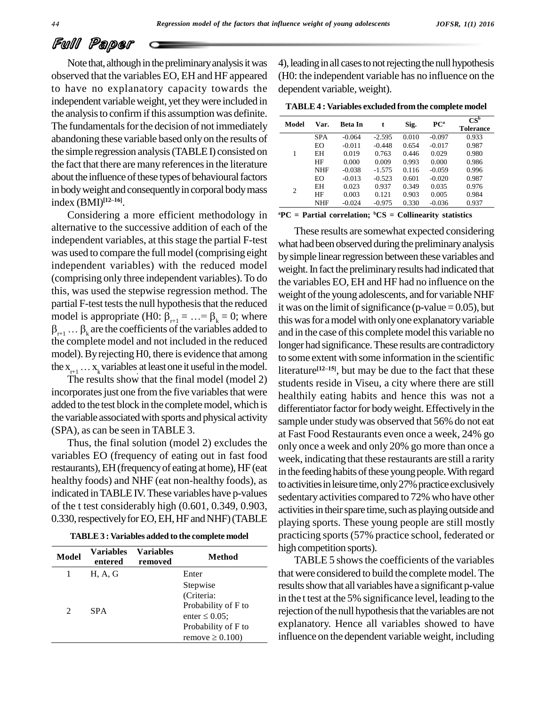Note that, although in the preliminary analysis it was observed that the variables EO, EH and HF appeared to have no explanatory capacity towards the independent variableweight, yet theywere included in the analysis to confirm if this assumption was definite. The fundamentals for the decision of not immediately abandoning these variable based onlyon the results of the simple regression analysis(TABLEI) consisted on the fact that there are many references in the literature about the influence of these types of behavioural factors in body weight and consequently in corporal body mass <br>index (BMI)<sup>[12-16]</sup>. index (BMI)<sup>[12-16]</sup>.

Considering a more efficient methodology in alternative to the successive addition of each of the independent variables, at this stage the partial F-test was used to compare the full model (comprising eight independent variables) with the reduced model (comprising only three independent variables).To do this, was used the stepwise regression method. The partial F-test tests the null hypothesis that the reduced  $\frac{m}{1 + m}$ this, was used the stepwise regression method. The weigh<br>partial F-test tests the null hypothesis that the reduced it was<br>model is appropriate (H0:  $\beta_{r+1} = ... = \beta_k = 0$ ; where this w artial F-test tests the null hypothesis that the reduced<br>it was codel is appropriate (H0:  $\beta_{r+1} = ... = \beta_k = 0$ ; where this wa<br>this was coefficients of the variables added to and in t the complete model and not included in the reduced model). By rejecting H0, there is evidence that among the complete model and not<br>model). By rejecting H0, then<br>the  $x_{r+1} \n\t... x_k$  variables at least  $X_{r+1} \ldots X_k$  variables at least one it useful in the model. The results show that the final model (model 2) stud

incorporates just one from the five variables that were added to the test block in the completemodel, which is the variable associated with sports and physical activity (SPA), as can be seen in TABLE 3.

Thus, the final solution (model 2) excludes the variables EO (frequency of eating out in fast food restaurants), EH (frequency of eating at home), HF (eat healthy foods) and NHF (eat non-healthy foods), as indicated in TABLE IV. These variables have p-values of the t test considerably high (0.601, 0.349, 0.903, 0.330, respectively for EO, EH, HF and NHF) (TABLE

|  |  | <b>TABLE 3 : Variables added to the complete model</b> |  |
|--|--|--------------------------------------------------------|--|
|--|--|--------------------------------------------------------|--|

| <b>Model</b>   | <b>Variables</b><br>entered | <b>Variables</b><br>removed | <b>Method</b>                                                                                                        |
|----------------|-----------------------------|-----------------------------|----------------------------------------------------------------------------------------------------------------------|
|                | H, A, G                     |                             | Enter                                                                                                                |
| $\mathfrak{D}$ | <b>SPA</b>                  |                             | Stepwise<br>(Criteria:<br>Probability of F to<br>enter $\leq 0.05$ ;<br>Probability of F to<br>remove $\geq 0.100$ ) |

4), leading in all cases to not rejecting the null hypothesis (H0: the independent variable has no influence on the dependent variable, weight).

| <b>TABLE 4 : Variables excluded from the complete model</b> |  |
|-------------------------------------------------------------|--|
|-------------------------------------------------------------|--|

| Model | Var.       | Beta In  | t        | Sig.  | PC <sup>a</sup> | $CS^b$<br><b>Tolerance</b> |
|-------|------------|----------|----------|-------|-----------------|----------------------------|
|       | <b>SPA</b> | $-0.064$ | $-2.595$ | 0.010 | $-0.097$        | 0.933                      |
|       | EO         | $-0.011$ | $-0.448$ | 0.654 | $-0.017$        | 0.987                      |
| 1     | EH         | 0.019    | 0.763    | 0.446 | 0.029           | 0.980                      |
|       | HF         | 0.000    | 0.009    | 0.993 | 0.000           | 0.986                      |
|       | <b>NHF</b> | $-0.038$ | $-1.575$ | 0.116 | $-0.059$        | 0.996                      |
|       | EO         | $-0.013$ | $-0.523$ | 0.601 | $-0.020$        | 0.987                      |
| 2     | EH         | 0.023    | 0.937    | 0.349 | 0.035           | 0.976                      |
|       | HF         | 0.003    | 0.121    | 0.903 | 0.005           | 0.984                      |
|       | <b>NHF</b> | $-0.024$ | $-0.975$ | 0.330 | $-0.036$        | 0.937                      |

**<sup>a</sup>PC = Partial correlation; <sup>b</sup>CS = Collinearity statistics**

These results are somewhat expected considering what had been observed during the preliminary analysis by simple linear regression between these variables and weight. In fact the preliminary results had indicated that the variables EO, EH and HF had no influence on the weight of the young adolescents, and for variable NHF it was on the limit of significance (p-value  $= 0.05$ ), but this was for a model with only one explanatory variable and in the case of this complete model this variable no longer had significance.These results are contradictory to some extent with some information in the scientific literature<sup>[12*n5*], but may be due to the fact that these</sup> literature<sup>[12-15]</sup>, but may be due to the fact that these students reside in Viseu, a city where there are still healthily eating habits and hence this was not a differentiator factor for body weight. Effectively in the sample under study was observed that 56% do not eat at Fast Food Restaurants even once a week, 24% go only once a week and only 20% go more than once a week, indicating that these restaurants are still a rarity in the feeding habits of these young people. With regard to activities in leisure time, only 27% practice exclusively sedentary activities compared to 72% who have other activities in their spare time, such as playing outside and playing sports. These young people are still mostly practicing sports(57% practice school, federated or high competition sports).

TABLE 5 shows the coefficients of the variables that were considered to build the complete model. The results show that all variables have a significant p-value in the t test at the 5% significance level, leading to the rejection of the null hypothesis that the variables are not explanatory. Hence all variables showed to have influence on the dependent variable weight, including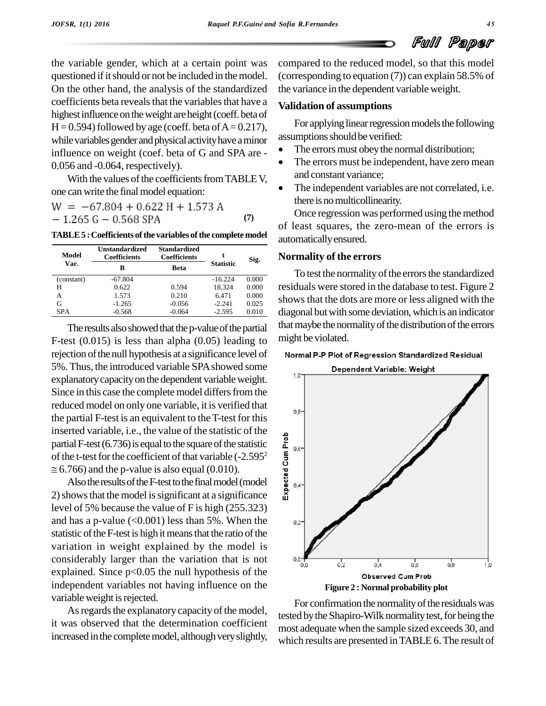the variable gender, which at a certain point was questioned if it should or not be included in the model. On the other hand, the analysis of the standardized coefficients beta reveals that the variables that have a highest influence on the weight are height (coeff. beta of  $H = 0.594$  followed by age (coeff. beta of  $A = 0.217$ ), For applying linear regression unit by a symption should be verified: while variables gender and physical activity have a minor influence on weight (coef. beta of G and SPA are -0.056 and -0.064, respectively).

With the values of the coefficients from TABLE V, one can write the final model equation:

$$
W = -67.804 + 0.622 H + 1.573 A
$$
  
- 1.265 G - 0.568 SPA (7)

**TABLE5 :Coefficients ofthe variables ofthe complete model**

| Model      | <b>Unstandardized</b><br><b>Coefficients</b> | <b>Standardized</b><br><b>Coefficients</b> |                  | Sig.  |
|------------|----------------------------------------------|--------------------------------------------|------------------|-------|
| Var.       | в                                            | <b>Beta</b>                                | <b>Statistic</b> |       |
| (constant) | $-67.804$                                    |                                            | $-16.224$        | 0.000 |
| Н          | 0.622                                        | 0.594                                      | 18.324           | 0.000 |
| А          | 1.573                                        | 0.210                                      | 6.471            | 0.000 |
| G          | $-1.265$                                     | $-0.056$                                   | $-2.241$         | 0.025 |
| <b>SPA</b> | $-0.568$                                     | $-0.064$                                   | $-2.595$         | 0.010 |

The results also showed that the p-value of the partial F-test  $(0.015)$  is less than alpha  $(0.05)$  leading to rejection of the null hypothesis at a significance level of Normal P-P Plot of Regression Standardized Residual 5%. Thus, the introduced variable SPA showed some explanatorycapacityon the dependent variableweight. Since in this case the complete model differs from the reduced model on only one variable, it is verified that the partial F-test is an equivalent to the T-test for this inserted variable, i.e., the value of the statistic of the partial F-test (6.736) is equal to the square of the statistic  $\sum_{n=1}^{\infty}$ of the t-test for the coefficient of that variable  $(-2.595<sup>2</sup>)$  $\approx$  6.766) and the p-value is also equal (0.010).

Also the results of the F-test to the final model (model 2)showsthat the model issignificant at a significance level of 5% because the value of F is high (255.323) and has a p-value  $(<0.001$ ) less than 5%. When the  $_{0,2}$ statistic of the F-test is high it means that the ratio of the variation in weight explained by the model is considerably larger than the variation that is not explained. Since  $p<0.05$  the null hypothesis of the independent variables not having influence on the variable weight is rejected.

As regards the explanatory capacity of the model, it was observed that the determination coefficient increased in the complete model, although very slightly,

compared to the reduced model, so that this model (corresponding to equation (7)) can explain 58.5% of the variance in the dependent variableweight.

#### **Validation of assumptions**

For applying linear regression models the following<br>assumptions should be verified:

- The errors must obey the normal distribution;
- The errors must be independent, have zero mean and constant variance;
- The independent variables are not correlated, i.e. there is no multicollinearity.

Once regression was performed using the method of least squares, the zero-mean of the errors is automaticallyensured.

#### **Normality of the errors**

To test the normality of the errors the standardized residuals were stored in the database to test. Figure 2 0.000  $\frac{0.000}{0.025}$  shows that the dots are more or less aligned with the 0.010 diagonal but with some deviation, which is an indicator that maybe the normality of the distribution of the errors might be violated.



For confirmation the normality of the residuals was tested by the Shapiro-Wilk normality test, for being the most adequate when the sample sized exceeds 30, and which results are presented inTABLE 6.The result of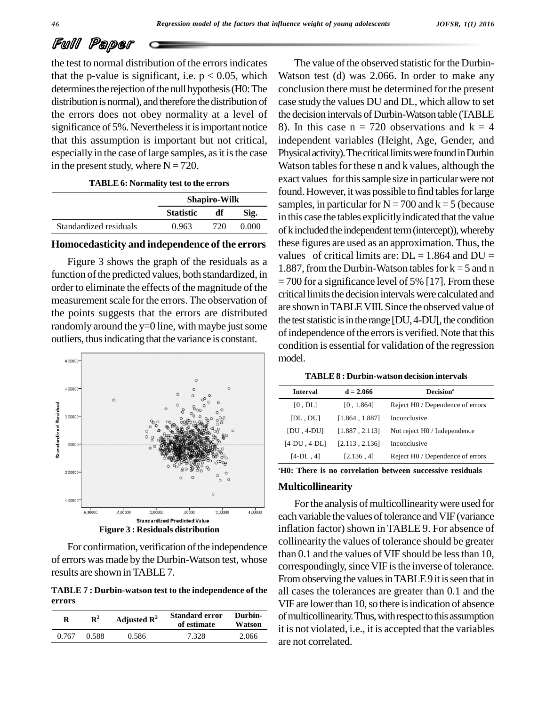the test to normal distribution of the errorsindicates that the p-value is significant, i.e.  $p < 0.05$ , which determines the rejection of the null hypothesis (H0: The distribution is normal), and therefore the distribution of the errors does not obey normality at a level of significance of 5%. Nevertheless it is important notice that this assumption is important but not critical, especially in the case of large samples, as it is the case in the present study, where  $N = 720$ .

| <b>TABLE 6: Normality test to the errors</b> |  |
|----------------------------------------------|--|
|----------------------------------------------|--|

|                        | <b>Shapiro-Wilk</b> |      |       |
|------------------------|---------------------|------|-------|
|                        | <b>Statistic</b>    | df   | Sig.  |
| Standardized residuals | 0.963               | 720. | 0.000 |

#### **Homocedasticity and independence of the errors**

Figure 3 shows the graph of the residuals as a function of the predicted values, both standardized, in order to eliminate the effects of the magnitude of the measurement scale for the errors. The observation of the points suggests that the errors are distributed randomly around the  $y=0$  line, with maybe just some outliers, thusindicating that the variance is constant.



For confirmation, verification of the independence of errors was made by the Durbin-Watson test, whose results are shown inTABLE 7.

**TABLE 7 : Durbin-watson test to the independence of the errors**

| R     | $\mathbf{R}^2$ | Adjusted $\mathbb{R}^2$ | <b>Standard error</b><br>of estimate | Durbin-<br>Watson | of m<br>it is |
|-------|----------------|-------------------------|--------------------------------------|-------------------|---------------|
| 0.767 | 0.588          | 0.586                   | 7.328                                | 2.066             | 2rQ1          |

The value of the observed statistic for the Durbin-Watson test (d) was 2.066. In order to make any conclusion there must be determined for the present case study the values DU and DL, which allow to set the decision intervals of Durbin-Watson table (TABLE 8). In this case  $n = 720$  observations and  $k = 4$ independent variables (Height, Age, Gender, and Physical activity). The critical limits were found in Durbin Watson tables for these n and k values, although the exact values for this sample size in particular were not found. However, it was possible to find tables for large samples, in particular for  $N = 700$  and  $k = 5$  (because in this case the tables explicitlyindicated that the value of k included the independent term (intercept)), whereby these figures are used as an approximation. Thus, the values of critical limits are:  $DL = 1.864$  and  $DU =$ 1.887, from the Durbin-Watson tables for  $k = 5$  and n = 700 for a significance level of 5% [17]. From these critical limits the decision intervals were calculated and are shown inTABLEVIII. Since the observed value of the test statistic is in the range  $[DU,4-DU]$ , the condition of independence of the errors is verified. Note that this condition is essential for validation of the regression model.

| <b>TABLE 8 : Durbin-watson decision intervals</b> |  |
|---------------------------------------------------|--|
|---------------------------------------------------|--|

| <b>Interval</b> | $d = 2.066$    | Decision <sup>a</sup>            |
|-----------------|----------------|----------------------------------|
| [0, DL]         | [0, 1.864]     | Reject H0 / Dependence of errors |
| [DL,DU]         | [1.864, 1.887] | Inconclusive                     |
| $[DU, 4-DU]$    | [1.887, 2.113] | Not reject H0 / Independence     |
| $[4-DU, 4-DL]$  | [2.113, 2.136] | Inconclusive                     |
| $[4-DL, 4]$     | [2.136, 4]     | Reject H0 / Dependence of errors |
|                 |                |                                  |

**<sup>A</sup>H0: There is no correlation between successive residuals**

#### **Multicollinearity**

For the analysis of multicollinearity were used for each variable the values of tolerance and VIF (variance inflation factor) shown in TABLE 9. For absence of collinearity the values of tolerance should be greater than 0.1 and the values of VIF should be less than 10, correspondingly, since VIF is the inverse of tolerance. From observing the values in TABLE9 it is seen that in all cases the tolerances are greater than 0.1 and the VIF are lower than 10, so there is indication of absence of multicollinearity. Thus, with respect to this assumption it is not violated, i.e., it is accepted that the variables are not correlated.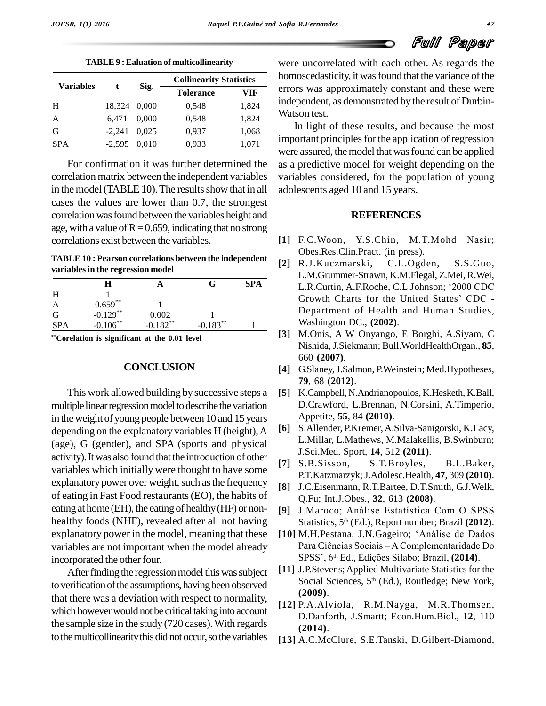| <b>Variables</b> |          | Sig.  | <b>Collinearity Statistics</b> |       |
|------------------|----------|-------|--------------------------------|-------|
|                  |          |       | <b>Tolerance</b>               | VIF   |
| H                | 18,324   | 0.000 | 0,548                          | 1,824 |
| $\mathbf{A}$     | 6.471    | 0.000 | 0,548                          | 1,824 |
| G                | $-2,241$ | 0.025 | 0,937                          | 1,068 |
| <b>SPA</b>       | $-2,595$ | 0.010 | 0,933                          | 1,071 |

**TABLE9 :Ealuation of multicollinearity**

For confirmation it was further determined the correlation matrix between the independent variables in the model (TABLE 10). The results show that in all cases the values are lower than 0.7, the strongest correlation was found between the variables height and age, with a value of  $R=0.659$ , indicating that no strong correlations exist between the variables.

**TABLE10 : Pearson correlations between the independent variablesin the regression model**

|            |             |                                 |             | <b>SPA</b> |      |
|------------|-------------|---------------------------------|-------------|------------|------|
|            |             |                                 |             |            |      |
|            | $0.659***$  |                                 |             |            |      |
| G          | $-0.129$ ** |                                 |             |            |      |
| <b>SPA</b> | $-0.106$ ** | $0.002$<br>-0.182 <sup>**</sup> | $-0.183***$ |            |      |
|            |             |                                 |             |            | r 21 |

**\*\*Corelation is significant at the 0.01 level**

#### **CONCLUSION**

This work allowed building by successive steps a multiple linear regression model to describe the variation in theweight of young people between 10 and 15 years depending on the explanatory variables H (height),A (age), G (gender), and SPA (sports and physical activity). It was also found that the introduction of other variables which initially were thought to have some explanatory power over weight, such as the frequency of eating in Fast Food restaurants(EO), the habits of eating at home (EH), the eating of healthy(HF) or non healthy foods (NHF), revealed after all not having explanatory power in the model, meaning that these incorporated the other four.

After finding the regression model this was subject to verification of the assumptions, having been observed that there was a deviation with respect to normality, which however would not be critical taking into account the sample size in the study (720 cases).With regards to the multicollinearity this did not occur, so the variables

were uncorrelated with each other. As regards the homoscedasticity, it was found that the variance of the errors was approximately constant and these were independent, as demonstrated by the result of Durbin- Watson test.

In light of these results, and because the most important principles for the application of regression were assured, the model that was found can be applied as a predictive model for weight depending on the variables considered, for the population of young adolescents aged 10 and 15 years.

#### **REFERENCES**

- **[1]** F.C.Woon, Y.S.Chin, M.T.Mohd Nasir; Obes.Res.Clin.Pract. (in press).
- **[2]** R.J.Kuczmarski, C.L.Ogden, S.S.Guo, L.M.Grummer-Strawn, K.M.Flegal, Z.Mei, R.Wei, R.J.Kuczmarski, C.L.Ogden, S.S.Guo,<br>L.M.Grummer-Strawn, K.M.Flegal, Z.Mei, R.Wei,<br>L.R.Curtin, A.F.Roche, C.L.Johnson; '2000 CDC L.R.Curtin, A.F.Roche, C.L.Johnson; '2000 CDC<br>Growth Charts for the United States' CDC -Department of Health and Human Studies, Washington DC., **(2002)**.
- **[3]** M.Onis, A W Onyango, E Borghi, A.Siyam, C Nishida,J.Siekmann; Bull.WorldHealthOrgan., **85**, 660 **(2007)**.
- **[4]** G.Slaney,J.Salmon, P.Weinstein; Med.Hypotheses, **79**, 68 **(2012)**.
- **[5]** K.Campbell, N.Andrianopoulos, K.Hesketh, K.Ball, D.Crawford, L.Brennan, N.Corsini, A.Timperio, Appetite, **55**, 84 **(2010)**.
- **[6]** S.Allender, P.Kremer,A.Silva-Sanigorski, K.Lacy, L.Millar, L.Mathews, M.Malakellis, B.Swinburn; J.Sci.Med. Sport, **14**, 512 **(2011)**.
- **[7]** S.B.Sisson, S.T.Broyles, B.L.Baker, P.T.Katzmarzyk;J.Adolesc.Health, **47**, 309 **(2010)**.
- **[8]** J.C.Eisenmann, R.T.Bartee, D.T.Smith, G.J.Welk, Q.Fu; Int.J.Obes., **32**, 613 **(2008)**.
- [9] J.Maroco; Análise Estatística Com O SPSS Statistics, 5 th (Ed.), Report number; Brazil **(2012)**. [9] J.Maroco; Análise Estatística Com O SPSS<br>Statistics, 5<sup>th</sup> (Ed.), Report number; Brazil (2012).<br>[10] M.H.Pestana, J.N.Gageiro; 'Análise de Dados
- Statistics, 5<sup>th</sup> (Ed.), Report number; Brazil (**2012**).<br>M.H.Pestana, J.N.Gageiro; 'Análise de Dados<br>Para Ciências Sociais A Complementaridade Do M.H.Pestana, J.N.Gageiro; 'Análise de Dados<br>Para Ciências Sociais – A Complementaridade Do<br>SPSS', 6<sup>th</sup> Ed., Edições Sílabo; Brazil, (**2014**). variables are not important when the model already Para Ciências Sociais - A Complementaridade Do
	- [11] J.P.Stevens; Applied Multivariate Statistics for the Social Sciences, 5<sup>th</sup> (Ed.), Routledge; New York, **(2009)**.
	- **[12]** P.A.Alviola, R.M.Nayga, M.R.Thomsen, D.Danforth, J.Smartt; Econ.Hum.Biol., **12**, 110 **(2014)**.
	- **[13]** A.C.McClure, S.E.Tanski, D.Gilbert-Diamond,